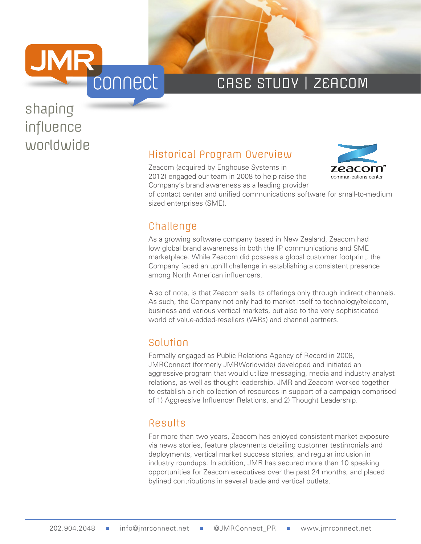

# CASE STUDY | ZEACOM

# shaping influence

# worldwide<br>
Historical Program Overview

Zeacom (acquired by Enghouse Systems in 2012) engaged our team in 2008 to help raise the Company's brand awareness as a leading provider



of contact center and unified communications software for small-to-medium sized enterprises (SME).

## **Challenge**

As a growing software company based in New Zealand, Zeacom had low global brand awareness in both the IP communications and SME marketplace. While Zeacom did possess a global customer footprint, the Company faced an uphill challenge in establishing a consistent presence among North American influencers.

Also of note, is that Zeacom sells its offerings only through indirect channels. As such, the Company not only had to market itself to technology/telecom, business and various vertical markets, but also to the very sophisticated world of value-added-resellers (VARs) and channel partners.

## Solution

Formally engaged as Public Relations Agency of Record in 2008, JMRConnect (formerly JMRWorldwide) developed and initiated an aggressive program that would utilize messaging, media and industry analyst relations, as well as thought leadership. JMR and Zeacom worked together to establish a rich collection of resources in support of a campaign comprised of 1) Aggressive Influencer Relations, and 2) Thought Leadership.

### Results

For more than two years, Zeacom has enjoyed consistent market exposure via news stories, feature placements detailing customer testimonials and deployments, vertical market success stories, and regular inclusion in industry roundups. In addition, JMR has secured more than 10 speaking opportunities for Zeacom executives over the past 24 months, and placed bylined contributions in several trade and vertical outlets.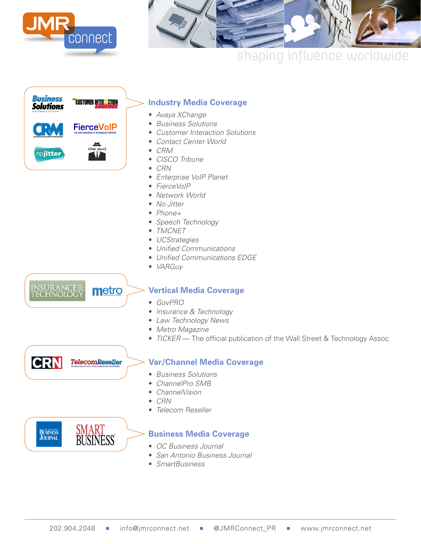



# shaping influence worldwide



#### **Industry Media Coverage**

- *Avaya XChange*
- *Business Solutions*
- *Customer Interaction Solutions*
- *Contact Center World*
- *CRM*
- *CISCO Tribune*
- *CRN*
- *Enterprise VoIP Planet*
- *FierceVoIP*
- *Network World*
- *No Jitter*
- *Phone+*
- *Speech Technology*
- *TMCNET*
- *UCStrategies*
- *Unified Communications*
- *Unified Communications EDGE*
- *VARGuy*

INSURAN<mark>CE</mark><br>TECHNOLOGY metro

#### **Vertical Media Coverage**

- *GovPRO*
- *Insurance & Technology*
- *Law Technology News*
- *Metro Magazine*
- *TICKER* The official publication of the Wall Street & Technology Assoc.

**CRN TelecomReseller** 

#### **Var/Channel Media Coverage**

- *Business Solutions*
- *ChannelPro SMB*
- *ChannelVision*
- *CRN*
- *Telecom Reseller*

SMART<br>BUSINESS **BÜSINESS**<br>**JOURNAL** 

#### **Business Media Coverage**

- *OC Business Journal*
- *San Antonio Business Journal*
- *SmartBusiness*